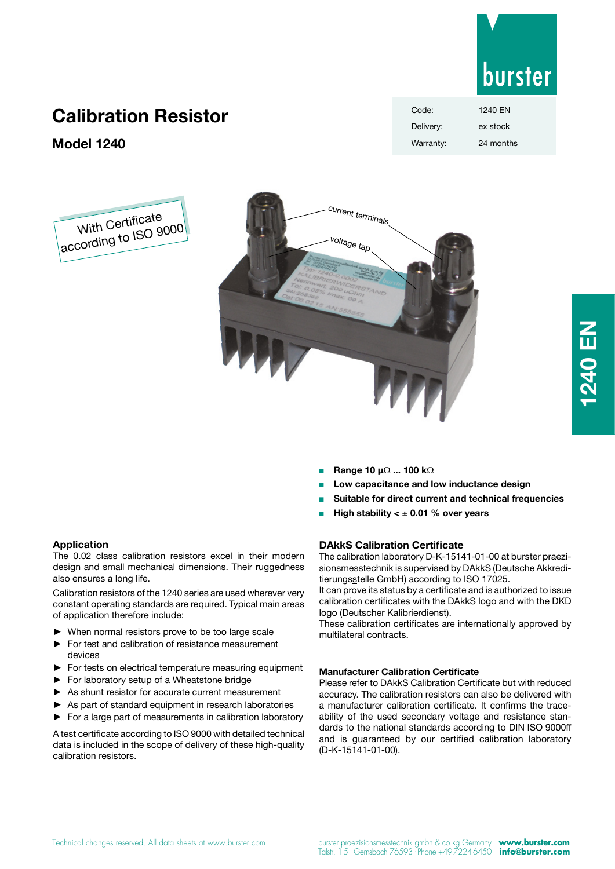

burster

Code: 1240 EN

# **Calibration Resistor**

**Model 1240**





**NEVS 1240 EN**

- <sup>n</sup> **Range 10 µ**Ω **... 100 k**Ω
- <sup>n</sup> **Low capacitance and low inductance design**
- **Suitable for direct current and technical frequencies**
- High stability < ± 0.01 % over years

## **DAkkS Calibration Certificate**

The calibration laboratory D-K-15141-01-00 at burster praezisionsmesstechnik is supervised by DAkkS (Deutsche Akkreditierungsstelle GmbH) according to ISO 17025.

It can prove its status by a certificate and is authorized to issue calibration certificates with the DAkkS logo and with the DKD logo (Deutscher Kalibrierdienst).

These calibration certificates are internationally approved by multilateral contracts.

#### **Manufacturer Calibration Certificate**

Please refer to DAkkS Calibration Certificate but with reduced accuracy. The calibration resistors can also be delivered with a manufacturer calibration certificate. It confirms the traceability of the used secondary voltage and resistance standards to the national standards according to DIN ISO 9000ff and is guaranteed by our certified calibration laboratory (D-K-15141-01-00).

#### **Application**

The 0.02 class calibration resistors excel in their modern design and small mechanical dimensions. Their ruggedness also ensures a long life.

Calibration resistors of the 1240 series are used wherever very constant operating standards are required. Typical main areas of application therefore include:

- When normal resistors prove to be too large scale
- ► For test and calibration of resistance measurement devices
- ► For tests on electrical temperature measuring equipment
- For laboratory setup of a Wheatstone bridge
- As shunt resistor for accurate current measurement
- As part of standard equipment in research laboratories
- ► For a large part of measurements in calibration laboratory

A test certificate according to ISO 9000 with detailed technical data is included in the scope of delivery of these high-quality calibration resistors.